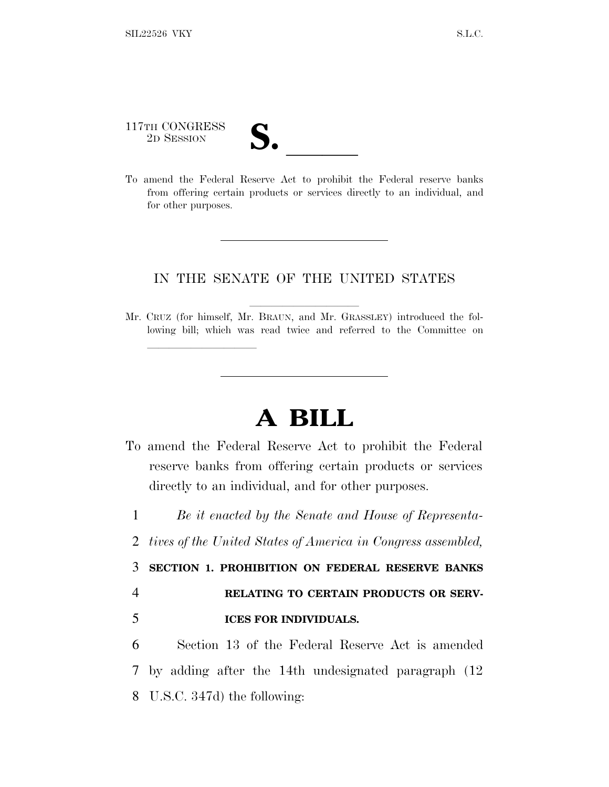## 117TH CONGRESS 117TH CONGRESS<br>
2D SESSION<br>
To amend the Federal Reserve Act to prohibit the Federal reserve banks

lland and a state of the state of the state of the state of the state of the state of the state of the state o

from offering certain products or services directly to an individual, and for other purposes.

## IN THE SENATE OF THE UNITED STATES

Mr. CRUZ (for himself, Mr. BRAUN, and Mr. GRASSLEY) introduced the following bill; which was read twice and referred to the Committee on

## **A BILL**

- To amend the Federal Reserve Act to prohibit the Federal reserve banks from offering certain products or services directly to an individual, and for other purposes.
	- 1 *Be it enacted by the Senate and House of Representa-*
	- 2 *tives of the United States of America in Congress assembled,*

3 **SECTION 1. PROHIBITION ON FEDERAL RESERVE BANKS** 4 **RELATING TO CERTAIN PRODUCTS OR SERV-**

## 5 **ICES FOR INDIVIDUALS.**

6 Section 13 of the Federal Reserve Act is amended 7 by adding after the 14th undesignated paragraph (12 8 U.S.C. 347d) the following: